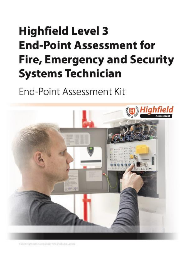# <span id="page-0-1"></span><span id="page-0-0"></span>**Highfield Level 3 End-Point Assessment for Fire, Emergency and Security Systems Technician**

**Fnd-Point Assessment Kit** 



= 2021 Highlied Awarding Body for Complance Limited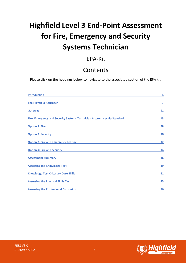## **Highfield Level 3 End-Point Assessment for Fire, Emergency and Security Systems Technician**

## EPA-Kit

## Contents

Please click on the headings below to navigate to the associated section of the EPA kit.

| Introduction and the contract of the contract of the contract of the contract of the contract of the contract of the contract of the contract of the contract of the contract of the contract of the contract of the contract        | $\overline{4}$ |
|--------------------------------------------------------------------------------------------------------------------------------------------------------------------------------------------------------------------------------------|----------------|
| The Highfield Approach <b>Experience and Contract Contract Contract Contract Contract Contract Contract Contract Contract Contract Contract Contract Contract Contract Contract Contract Contract Contract Contract Contract Con</b> | 7              |
| Gateway and the contract of the contract of the contract of the contract of the contract of the contract of the contract of the contract of the contract of the contract of the contract of the contract of the contract of th       | 11             |
| Fire, Emergency and Security Systems Technician Apprenticeship Standard                                                                                                                                                              | <b>13</b>      |
| <u>Option 1: Fire</u>                                                                                                                                                                                                                | 28             |
| <u> Option 2: Security and Security and Security and Security and Security and Security and Security and Security</u>                                                                                                                | 30             |
| <u>Option 3: Fire and emergency lighting example and the state of the state of the state of the state of the state of the state of the state of the state of the state of the state of the state of the state of the state of th</u> | 32             |
| <u>Option 4: Fire and security and security and security and security and security and security and security and security and security and security and security and security and security and security and security and securit</u> | 34             |
| Assessment Summary <b>Executive Summary Assessment Summary</b>                                                                                                                                                                       | 36             |
| Assessing the Knowledge Test <b>Example 2018</b> 2019 12:00:00 PM 2019 12:00:00 PM 2019 12:00:00 PM 2019 12:00:00 PM 2019 12:00:00 PM 2019 12:00:00 PM 2019 12:00:00 PM 2019 12:00:00 PM 2019 12:00:00 PM 2019 12:00:00 PM 2019 12:  | 39             |
| <u>Knowledge Test Criteria – Core Skills American American School (School and School and School and School and S</u>                                                                                                                 | 41             |
| <u>Assessing the Practical Skills Test Assessing the Practical Skills Test Assessing the Practical Skills Test Assessing the Brazil Skills Test Assessing the Brazil Skills Test Assessing the Brazil Skills Test Assessing the </u> | 45             |
| Assessing the Professional Discussion <b>Assessing the Professional Discussion</b>                                                                                                                                                   | 56             |



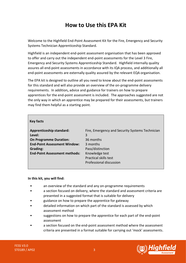## **How to Use this EPA Kit**

Welcome to the Highfield End-Point Assessment Kit for the Fire, Emergency and Security Systems Technician Apprenticeship Standard.

Highfield is an independent end-point assessment organisation that has been approved to offer and carry out the independent end-point assessments for the Level 3 Fire, Emergency and Security Systems Apprenticeship Standard. Highfield internally quality assures all end-point assessments in accordance with its IQA process, and additionally all end-point assessments are externally quality assured by the relevant EQA organisation.

The EPA kit is designed to outline all you need to know about the end-point assessments for this standard and will also provide an overview of the on-programme delivery requirements. In addition**,** advice and guidance for trainers on how to prepare apprentices for the end-point assessment is included. The approaches suggested are not the only way in which an apprentice may be prepared for their assessments, but trainers may find them helpful as a starting point.

### **Key facts**

| <b>On Programme Duration:</b><br>36 months<br><b>End-Point Assessment Window:</b><br>3 months<br>Pass/distinction<br>Grading: |  |
|-------------------------------------------------------------------------------------------------------------------------------|--|
| <b>End-Point Assessment methods:</b><br>Knowledge test                                                                        |  |
|                                                                                                                               |  |

### **In this kit, you will find:**

- an overview of the standard and any on-programme requirements
- a section focused on delivery, where the standard and assessment criteria are presented in a suggested format that is suitable for delivery
- guidance on how to prepare the apprentice for gateway
- detailed information on which part of the standard is assessed by which assessment method
- suggestions on how to prepare the apprentice for each part of the end-point assessment
- a section focused on the end-point assessment method where the assessment criteria are presented in a format suitable for carrying out 'mock' assessments.

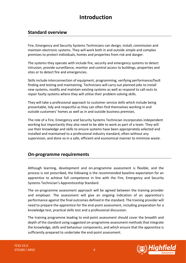## **Introduction**

## <span id="page-3-0"></span>**Standard overview**

Fire, Emergency and Security Systems Technicians can design, install, commission and maintain electronic systems. They will work both in and outside simple and complex premises to protect individuals, homes and properties from risk and danger.

The systems they operate with include fire, security and emergency systems to detect intrusion, provide surveillance, monitor and control access to buildings, properties and sites or to detect fire and emergencies.

Skills include interconnection of equipment, programming, verifying performance/fault finding and testing and maintaining. Technicians will carry out planned jobs to install new systems, modify and maintain existing systems as well as respond to call-outs to repair faulty systems where they will utilise their problem-solving skills.

They will take a professional approach to customer service skills which include being presentable, tidy and respectful as they can often find themselves working in and outside customers' homes as well as in and outside business premises.

The role of a Fire, Emergency and Security Systems Technician incorporates independent working but importantly they also need to be able to work as part of a team. They will use their knowledge and skills to ensure systems have been appropriately selected and installed and maintained to a professional industry standard, often without any supervision, and done so in a safe, efficient and economical manner to minimise waste.

### **On-programme requirements**

Although learning, development and on-programme assessment is flexible, and the process is not prescribed, the following is the recommended baseline expectation for an apprentice to achieve full competence in line with the Fire, Emergency and Security Systems Technician's Apprenticeship Standard.

The on-programme assessment approach will be agreed between the training provider and employer. The assessment will give an ongoing indication of an apprentice's performance against the final outcomes defined in the standard. The training provider will need to prepare the apprentice for the end-point assessment, including preparation for a knowledge test, practical skills test and a professional discussion.

The training programme leading to end-point assessment should cover the breadth and depth of the standard using suggested on-programme assessment methods that integrate the knowledge, skills and behaviour components, and which ensure that the apprentice is sufficiently prepared to undertake the end-point assessment.

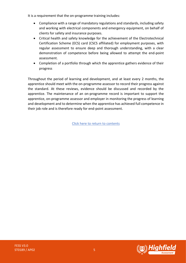It is a requirement that the on-programme training includes:

- Compliance with a range of mandatory regulations and standards, including safety and working with electrical components and emergency equipment, on behalf of clients for safety and insurance purposes.
- Critical health and safety knowledge for the achievement of the Electrotechnical Certification Scheme (ECS) card (CSCS affiliated) for employment purposes, with regular assessment to ensure deep and thorough understanding, with a clear demonstration of competence before being allowed to attempt the end-point assessment.
- Completion of a portfolio through which the apprentice gathers evidence of their progress

Throughout the period of learning and development, and at least every 2 months, the apprentice should meet with the on-programme assessor to record their progress against the standard. At these reviews, evidence should be discussed and recorded by the apprentice. The maintenance of an on-programme record is important to support the apprentice, on-programme assessor and employer in monitoring the progress of learning and development and to determine when the apprentice has achieved full competence in their job role and is therefore ready for end-point assessment.

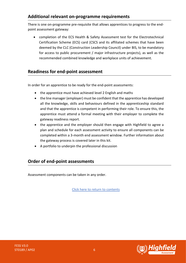## **Additional relevant on-programme requirements**

There is one on-programme pre-requisite that allows apprentices to progress to the endpoint assessment gateway:

• completion of the ECS Health & Safety Assessment test for the Electrotechnical Certification Scheme (ECS) card (CSCS and its affiliated schemes that have been deemed by the CLC (Construction Leadership Council) under BIS, to be mandatory for access to public procurement / major infrastructure projects), as well as the recommended combined knowledge and workplace units of achievement.

### **Readiness for end-point assessment**

In order for an apprentice to be ready for the end-point assessments:

- the apprentice must have achieved level 2 English and maths
- the line manager (employer) must be confident that the apprentice has developed all the knowledge, skills and behaviours defined in the apprenticeship standard and that the apprentice is competent in performing their role. To ensure this, the apprentice must attend a formal meeting with their employer to complete the gateway readiness report.
- the apprentice and the employer should then engage with Highfield to agree a plan and schedule for each assessment activity to ensure all components can be completed within a 3-month end assessment window. Further information about the gateway process is covered later in this kit.
- A portfolio to underpin the professional discussion

## **Order of end-point assessments**

Assessment components can be taken in any order.

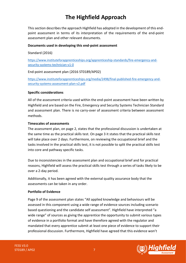## **The Highfield Approach**

<span id="page-6-0"></span>This section describes the approach Highfield has adopted in the development of this endpoint assessment in terms of its interpretation of the requirements of the end-point assessment plan and other relevant documents.

### **Documents used in developing this end-point assessment**

Standard (2016)

[https://www.instituteforapprenticeships.org/apprenticeship-standards/fire-emergency-and](https://www.instituteforapprenticeships.org/apprenticeship-standards/fire-emergency-and-security-systems-technician-v1-0)[security-systems-technician-v1-0](https://www.instituteforapprenticeships.org/apprenticeship-standards/fire-emergency-and-security-systems-technician-v1-0)

End-point assessment plan (2016 ST0189/AP02)

[https://www.instituteforapprenticeships.org/media/2498/final-published-fire-emergency-and](https://www.instituteforapprenticeships.org/media/2498/final-published-fire-emergency-and-security-systems-assessment-plan-v2.pdf)[security-systems-assessment-plan-v2.pdf](https://www.instituteforapprenticeships.org/media/2498/final-published-fire-emergency-and-security-systems-assessment-plan-v2.pdf)

### **Specific considerations**

All of the assessment criteria used within the end-point assessment have been written by Highfield and are based on the Fire, Emergency and Security Systems Technician Standard and assessment plan. There is no carry-over of assessment criteria between assessment methods.

### **Timescales of assessments**

The assessment plan, on page 2, states that the professional discussion is undertaken at the same time as the practical skills test. On page 3 it states that the practical skills test will take place over 2 days. Furthermore, on reviewing the occupational brief and the tasks involved in the practical skills test, it is not possible to split the practical skills test into core and pathway specific tasks.

Due to inconsistencies in the assessment plan and occupational brief and for practical reasons, Highfield will assess the practical skills test through a series of tasks likely to be over a 2-day period.

Additionally, it has been agreed with the external quality assurance body that the assessments can be taken in any order.

### **Portfolio of Evidence**

Page 9 of the assessment plan states "All applied knowledge and behaviours will be assessed in this component using a wide range of evidence sources including scenario based questioning and the candidate self assessment". Highfield have interpreted "a wide range" of sources as giving the apprentice the opportunity to submit various types of evidence in a portfolio format and have therefore agreed with the regulator and mandated that every apprentice submit at least one piece of evidence to support their professional discussion. Furthermore, Highfield have agreed that this evidence won't

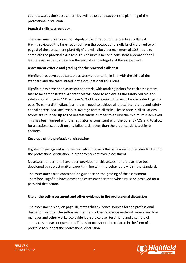count towards their assessment but will be used to support the planning of the professional discussion.

### **Practical skills test duration**

The assessment plan does not stipulate the duration of the practical skills test. Having reviewed the tasks required from the occupational skills brief (referred to on page 8 of the assessment plan) Highfield will allocate a maximum of 10.5 hours to complete the practical skills test. This ensures a fair and consistent approach for all learners as well as to maintain the security and integrity of the assessment.

### **Assessment criteria and grading for the practical skills test**

Highfield has developed suitable assessment criteria, in line with the skills of the standard and the tasks stated in the occupational skills brief.

Highfield has developed assessment criteria with marking points for each assessment task to be demonstrated. Apprentices will need to achieve all the safety related and safety critical criteria AND achieve 60% of the criteria within each task in order to gain a pass. To gain a distinction, learners will need to achieve all the safety related and safety critical criteria AND achieve 80% average across all tasks. Please note in all situations scores are rounded **up** to the nearest whole number to ensure the minimum is achieved. This has been agreed with the regulator as consistent with the other EPAOs and to allow for a sectionalised resit on any failed task rather than the practical skills test in its entirety.

### **Coverage of the professional discussion**

Highfield have agreed with the regulator to assess the behaviours of the standard within the professional discussion, in order to prevent over-assessment.

No assessment criteria have been provided for this assessment, these have been developed by subject matter experts in line with the behaviours within the standard.

The assessment plan contained no guidance on the grading of the assessment. Therefore, Highfield have developed assessment criteria which must be achieved for a pass and distinction.

### **Use of the self-assessment and other evidence in the professional discussion**

The assessment plan, on page 10, states that evidence sources for the professional discussion includes the self-assessment and other reference material, supervisor, line manager and other workplace evidence, service user testimony and a sample of standardised learner questions. This evidence should be collated in the form of a portfolio to support the professional discussion.

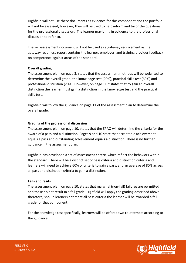Highfield will not use these documents as evidence for this component and the portfolio will not be assessed, however, they will be used to help inform and tailor the questions for the professional discussion.  The learner may bring in evidence to the professional discussion to refer to.

The self-assessment document will not be used as a gateway requirement as the gateway readiness report contains the learner, employer, and training provider feedback on competence against areas of the standard.

### **Overall grading**

The assessment plan, on page 3, states that the assessment methods will be weighted to determine the overall grade: the knowledge test (20%), practical skills test (60%) and professional discussion (20%). However, on page 11 it states that to gain an overall distinction the learner must gain a distinction in the knowledge test and the practical skills test.

Highfield will follow the guidance on page 11 of the assessment plan to determine the overall grade.

### **Grading of the professional discussion**

The assessment plan, on page 10, states that the EPAO will determine the criteria for the award of a pass and a distinction. Pages 9 and 10 state that acceptable achievement equals a pass and outstanding achievement equals a distinction. There is no further guidance in the assessment plan.

Highfield has developed a set of assessment criteria which reflect the behaviors within the standard. There will be a distinct set of pass criteria and distinction criteria and learners will need to achieve 60% of criteria to gain a pass, and an average of 80% across all pass and distinction criteria to gain a distinction.

### **Fails and resits**

The assessment plan, on page 10, states that marginal (non-fail) failures are permitted and these do not result in a fail grade. Highfield will apply the grading described above therefore, should learners not meet all pass criteria the learner will be awarded a fail grade for that component.

For the knowledge test specifically, learners will be offered two re-attempts according to the guidance.

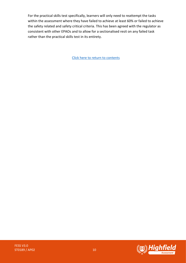For the practical skills test specifically, learners will only need to reattempt the tasks within the assessment where they have failed to achieve at least 60% or failed to achieve the safety related and safety critical criteria. This has been agreed with the regulator as consistent with other EPAOs and to allow for a sectionalised resit on any failed task rather than the practical skills test in its entirety.

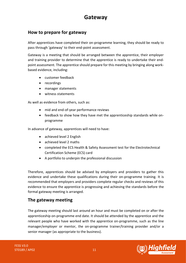## **Gateway**

## <span id="page-10-0"></span>**How to prepare for gateway**

After apprentices have completed their on-programme learning, they should be ready to pass through 'gateway' to their end-point assessment.

Gateway is a meeting that should be arranged between the apprentice, their employer and training provider to determine that the apprentice is ready to undertake their endpoint assessment. The apprentice should prepare for this meeting by bringing along workbased evidence, including:

- customer feedback
- recordings
- manager statements
- witness statements

As well as evidence from others, such as:

- mid and end-of-year performance reviews
- feedback to show how they have met the apprenticeship standards while onprogramme

In advance of gateway, apprentices will need to have:

- achieved level 2 English
- achieved level 2 maths
- completed the ECS Health & Safety Assessment test for the Electrotechnical Certification Scheme (ECS) card
- A portfolio to underpin the professional discussion

Therefore, apprentices should be advised by employers and providers to gather this evidence and undertake these qualifications during their on-programme training. It is recommended that employers and providers complete regular checks and reviews of this evidence to ensure the apprentice is progressing and achieving the standards before the formal gateway meeting is arranged.

### **The gateway meeting**

The gateway meeting should last around an hour and must be completed on or after the apprenticeship on-programme end date. It should be attended by the apprentice and the relevant people who have worked with the apprentice on-programme, such as the line manager/employer or mentor, the on-programme trainer/training provider and/or a senior manager (as appropriate to the business).

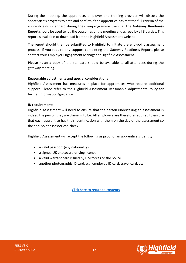During the meeting, the apprentice, employer and training provider will discuss the apprentice's progress to date and confirm if the apprentice has met the full criteria of the apprenticeship standard during their on-programme training. The **Gateway Readiness Report** should be used to log the outcomes of the meeting and agreed by all 3 parties. This report is available to download from the Highfield Assessment website.

The report should then be submitted to Highfield to initiate the end-point assessment process. If you require any support completing the Gateway Readiness Report, please contact your Employer Engagement Manager at Highfield Assessment.

**Please note:** a copy of the standard should be available to all attendees during the gateway meeting.

### **Reasonable adjustments and special considerations**

Highfield Assessment has measures in place for apprentices who require additional support. Please refer to the Highfield Assessment Reasonable Adjustments Policy for further information/guidance.

### **ID requirements**

Highfield Assessment will need to ensure that the person undertaking an assessment is indeed the person they are claiming to be. All employers are therefore required to ensure that each apprentice has their identification with them on the day of the assessment so the end-point assessor can check.

Highfield Assessment will accept the following as proof of an apprentice's identity:

- a valid passport (any nationality)
- a signed UK photocard driving licence
- a valid warrant card issued by HM forces or the police
- another photographic ID card, e.g. employee ID card, travel card, etc.

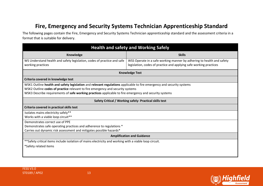## **Fire, Emergency and Security Systems Technician Apprenticeship Standard**

The following pages contain the Fire, Emergency and Security Systems Technician apprenticeship standard and the assessment criteria in a format that is suitable for delivery.

<span id="page-12-0"></span>

| <b>Health and safety and Working Safely</b>                                                                                                                                                                                                                                                                       |                                                                                                                                             |
|-------------------------------------------------------------------------------------------------------------------------------------------------------------------------------------------------------------------------------------------------------------------------------------------------------------------|---------------------------------------------------------------------------------------------------------------------------------------------|
| Knowledge                                                                                                                                                                                                                                                                                                         | <b>Skills</b>                                                                                                                               |
| WS Understand health and safety legislation, codes of practice and safe<br>working practices                                                                                                                                                                                                                      | WSS Operate in a safe working manner by adhering to health and safety<br>legislation, codes of practice and applying safe working practices |
| <b>Knowledge Test</b>                                                                                                                                                                                                                                                                                             |                                                                                                                                             |
| Criteria covered in knowledge test                                                                                                                                                                                                                                                                                |                                                                                                                                             |
| WSK1 Outline health and safety legislation and relevant regulations applicable to fire emergency and security systems<br>WSK2 Outline codes of practice relevant to fire emergency and security systems<br>WSK3 Describe requirements of safe working practices applicable to fire emergency and security systems |                                                                                                                                             |
|                                                                                                                                                                                                                                                                                                                   | Safety Critical / Working safely- Practical skills test                                                                                     |
| Criteria covered in practical skills test                                                                                                                                                                                                                                                                         |                                                                                                                                             |
| Isolates mains electricity safely**<br>Works with a viable loop circuit**                                                                                                                                                                                                                                         |                                                                                                                                             |
| Demonstrates correct use of PPE<br>Demonstrates safe operating practices and adherence to regulations *<br>Carries out dynamic risk assessment and mitigates possible hazards*                                                                                                                                    |                                                                                                                                             |
| <b>Amplification and Guidance</b>                                                                                                                                                                                                                                                                                 |                                                                                                                                             |
| **Safety critical items include isolation of mains electricity and working with a viable loop circuit.<br>*Safety related items                                                                                                                                                                                   |                                                                                                                                             |



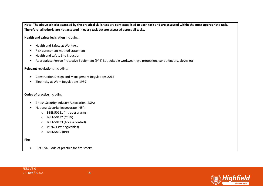**Note: The above criteria assessed by the practical skills test are contextualised to each task and are assessed within the most appropriate task. Therefore, all criteria are not assessed in every task but are assessed across all tasks.** 

**Health and safety legislation** including:

- Health and Safety at Work Act
- Risk assessment method statement
- Health and safety Site induction
- Appropriate Person Protective Equipment (PPE) i.e., suitable workwear, eye protection, ear defenders, gloves etc.

### **Relevant regulations** including:

- Construction Design and Management Regulations 2015
- Electricity at Work Regulations 1989

#### **Codes of practice** including:

- British Security Industry Association (BSIA)
- National Security Inspecorate (NSI):
	- o BSEN50131 (Intruder alarms)
	- o BSEN50132 (CCTV)
	- o BSEN50133 (Access control)
	- o VS7671 (wiring/cables)
	- o BSEN5839 (fire)

#### **Fire**

• BS9999a: Code of practice for fire safety



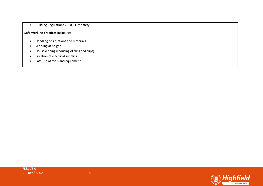• Building Regulations 2010 – Fire safety

**Safe working practices** including:

- Handling of situations and materials
- Working at height
- Housekeeping (reducing of slips and trips)
- Isolation of electrical supplies
- Safe use of tools and equipment

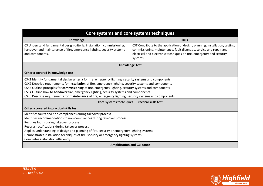| Core systems and core systems techniques                                                                                                                                                                                                                                                                                                                                                                                                                                                                                           |                                                                                                                                                                                                                                         |
|------------------------------------------------------------------------------------------------------------------------------------------------------------------------------------------------------------------------------------------------------------------------------------------------------------------------------------------------------------------------------------------------------------------------------------------------------------------------------------------------------------------------------------|-----------------------------------------------------------------------------------------------------------------------------------------------------------------------------------------------------------------------------------------|
| <b>Knowledge</b>                                                                                                                                                                                                                                                                                                                                                                                                                                                                                                                   | <b>Skills</b>                                                                                                                                                                                                                           |
| CS Understand fundamental design criteria, installation, commissioning,<br>handover and maintenance of fire, emergency lighting, security systems<br>and components.                                                                                                                                                                                                                                                                                                                                                               | CST Contribute to the application of design, planning, installation, testing,<br>commissioning, maintenance, fault diagnosis, service and repair and<br>electrical and electronic techniques on fire, emergency and security<br>systems |
| <b>Knowledge Test</b>                                                                                                                                                                                                                                                                                                                                                                                                                                                                                                              |                                                                                                                                                                                                                                         |
| Criteria covered in knowledge test                                                                                                                                                                                                                                                                                                                                                                                                                                                                                                 |                                                                                                                                                                                                                                         |
| CSK1 Identify fundamental design criteria for fire, emergency lighting, security systems and components<br>CSK2 Describe requirements for installation of fire, emergency lighting, security systems and components<br>CSK3 Outline principles for commissioning of fire, emergency lighting, security systems and components<br>CSK4 Outline how to handover fire, emergency lighting, security systems and components<br>CSK5 Describe requirements for maintenance of fire, emergency lighting, security systems and components |                                                                                                                                                                                                                                         |
|                                                                                                                                                                                                                                                                                                                                                                                                                                                                                                                                    | Core systems techniques - Practical skills test                                                                                                                                                                                         |
| Criteria covered in practical skills test                                                                                                                                                                                                                                                                                                                                                                                                                                                                                          |                                                                                                                                                                                                                                         |
| Identifies faults and non-compliances during takeover process<br>Identifies recommendations to non-compliances during takeover process<br>Rectifies faults during takeover process<br>Records rectifications during takeover process<br>Applies understanding of design and planning of fire, security or emergency lighting systems<br>Demonstrates installation techniques of fire, security or emergency lighting systems<br>Completes installation efficiently                                                                 |                                                                                                                                                                                                                                         |
| <b>Amplification and Guidance</b>                                                                                                                                                                                                                                                                                                                                                                                                                                                                                                  |                                                                                                                                                                                                                                         |

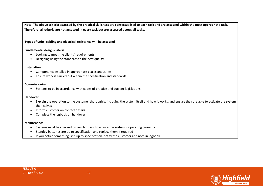**Note: The above criteria assessed by the practical skills test are contextualised to each task and are assessed within the most appropriate task. Therefore, all criteria are not assessed in every task but are assessed across all tasks.** 

**Types of units, cabling and electrical resistance will be assessed**

#### **Fundamental design criteria:**

- Looking to meet the clients' requirements
- Designing using the standards to the best quality

#### **Installation:**

- Components installed in appropriate places and zones
- Ensure work is carried out within the specification and standards.

#### **Commissioning:**

• Systems to be in accordance with codes of practice and current legislations.

#### **Handover:**

- Explain the operation to the customer thoroughly, including the system itself and how it works, and ensure they are able to activate the system themselves
- Inform customer on contact details
- Complete the logbook on handover

#### **Maintenance:**

- Systems must be checked on regular basis to ensure the system is operating correctly
- Standby batteries are up to specification and replace them if required
- If you notice something isn't up to specification, notify the customer and note in logbook.



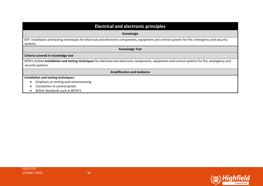| <b>Electrical and electronic principles</b>                                                                                                                   |
|---------------------------------------------------------------------------------------------------------------------------------------------------------------|
| Knowledge                                                                                                                                                     |
| EEP. Installation and testing techniques for electrical and electronic components, equipment and control systems for fire, emergency and security<br>systems. |
| <b>Knowledge Test</b>                                                                                                                                         |
| Criteria covered in knowledge test                                                                                                                            |
| EEPK1 Outline Installation and testing techniques for electrical and electronic components, equipment and control systems for fire, emergency and             |
| security systems.                                                                                                                                             |
| <b>Amplification and Guidance</b>                                                                                                                             |
| Installation and testing techniques:                                                                                                                          |
| Emphasis on testing and commissioning                                                                                                                         |
| Connection to control panels                                                                                                                                  |

• British Standards such as BS7671

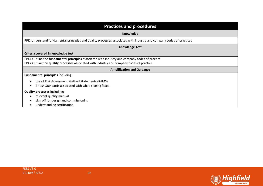| <b>Practices and procedures</b>                                                                                                                                                             |
|---------------------------------------------------------------------------------------------------------------------------------------------------------------------------------------------|
| Knowledge                                                                                                                                                                                   |
| PPK. Understand fundamental principles and quality processes associated with industry and company codes of practices                                                                        |
| <b>Knowledge Test</b>                                                                                                                                                                       |
| Criteria covered in knowledge test                                                                                                                                                          |
| PPK1 Outline the fundamental principles associated with industry and company codes of practice<br>PPK2 Outline the quality processes associated with industry and company codes of practice |
| <b>Amplification and Guidance</b>                                                                                                                                                           |
| <b>Fundamental principles including:</b>                                                                                                                                                    |
| use of Risk Assessment Method Statements (RAMS)<br>British Standards associated with what is being fitted.                                                                                  |
| <b>Quality processes including:</b><br>relevant quality manual<br>sign off for design and commissioning<br>$\mathbf{r}$ , and $\mathbf{r}$ , and $\mathbf{r}$ , and $\mathbf{r}$            |

• understanding certification

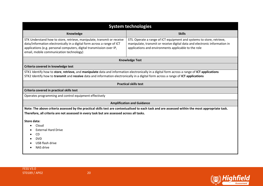| <b>System technologies</b>                                                                                                                                                                                                                                                          |                                                                                                                                                                                                             |
|-------------------------------------------------------------------------------------------------------------------------------------------------------------------------------------------------------------------------------------------------------------------------------------|-------------------------------------------------------------------------------------------------------------------------------------------------------------------------------------------------------------|
| Knowledge                                                                                                                                                                                                                                                                           | <b>Skills</b>                                                                                                                                                                                               |
| STK Understand how to store, retrieve, manipulate, transmit or receive<br>data/information electronically in a digital form across a range of ICT<br>applications (e.g. personal computers, digital transmission over IP,<br>email, mobile communication technology)                | STS. Operate a range of ICT equipment and systems to store, retrieve,<br>manipulate, transmit or receive digital data and electronic information in<br>applications and environments applicable to the role |
|                                                                                                                                                                                                                                                                                     | <b>Knowledge Test</b>                                                                                                                                                                                       |
| Criteria covered in knowledge test                                                                                                                                                                                                                                                  |                                                                                                                                                                                                             |
| STK1 Identify how to store, retrieve, and manipulate data and information electronically in a digital form across a range of ICT applications<br>STK2 Identify how to transmit and receive data and information electronically in a digital form across a range of ICT applications |                                                                                                                                                                                                             |
|                                                                                                                                                                                                                                                                                     | <b>Practical skills test</b>                                                                                                                                                                                |
| Criteria covered in practical skills test                                                                                                                                                                                                                                           |                                                                                                                                                                                                             |
| Operates programming and control equipment effectively                                                                                                                                                                                                                              |                                                                                                                                                                                                             |
|                                                                                                                                                                                                                                                                                     | <b>Amplification and Guidance</b>                                                                                                                                                                           |
|                                                                                                                                                                                                                                                                                     | Note: The above criteria assessed by the practical skills test are contextualised to each task and are assessed within the most appropriate task.                                                           |
| Therefore, all criteria are not assessed in every task but are assessed across all tasks.                                                                                                                                                                                           |                                                                                                                                                                                                             |
| Store data:                                                                                                                                                                                                                                                                         |                                                                                                                                                                                                             |
| Cloud                                                                                                                                                                                                                                                                               |                                                                                                                                                                                                             |
| <b>External Hard Drive</b>                                                                                                                                                                                                                                                          |                                                                                                                                                                                                             |
| <b>CD</b>                                                                                                                                                                                                                                                                           |                                                                                                                                                                                                             |
| <b>DVD</b>                                                                                                                                                                                                                                                                          |                                                                                                                                                                                                             |
| USB flash drive                                                                                                                                                                                                                                                                     |                                                                                                                                                                                                             |
| NAS drive                                                                                                                                                                                                                                                                           |                                                                                                                                                                                                             |

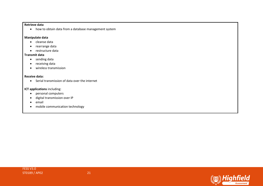### **Retrieve data**

• how to obtain data from a database management system

### **Manipulate data**

- cleanse data
- rearrange data
- restructure data

### **Transmit data**

- sending data
- receiving data
- wireless transmission

#### **Receive data:**

• Serial transmission of data over the internet

#### **ICT applications including:**

- personal computers
- digital transmission over IP
- email
- mobile communication technology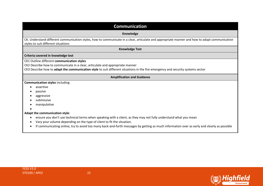| <b>Communication</b>                                                                                                                                                                                                                                            |
|-----------------------------------------------------------------------------------------------------------------------------------------------------------------------------------------------------------------------------------------------------------------|
| Knowledge                                                                                                                                                                                                                                                       |
| CK. Understand different communication styles, how to communicate in a clear, articulate and appropriate manner and how to adapt communication<br>styles to suit different situations                                                                           |
| <b>Knowledge Test</b>                                                                                                                                                                                                                                           |
| Criteria covered in knowledge test                                                                                                                                                                                                                              |
| CK1 Outline different communication styles<br>CK2 Describe how to communicate in a clear, articulate and appropriate manner<br>CK3 Describe how to adapt the communication style to suit different situations in the fire emergency and security systems sector |
| <b>Amplification and Guidance</b>                                                                                                                                                                                                                               |
| <b>Communication styles including:</b>                                                                                                                                                                                                                          |
| assertive                                                                                                                                                                                                                                                       |
| passive                                                                                                                                                                                                                                                         |
| aggressive                                                                                                                                                                                                                                                      |
| submissive<br>manipulative                                                                                                                                                                                                                                      |
|                                                                                                                                                                                                                                                                 |
| Adapt the communication style:                                                                                                                                                                                                                                  |
| ensure you don't use technical terms when speaking with a client, as they may not fully understand what you mean                                                                                                                                                |
| Vary your volume depending on the type of client to fit the situation.                                                                                                                                                                                          |
| If communicating online, try to avoid too many back-and-forth messages by getting as much information over as early and clearly as possible                                                                                                                     |



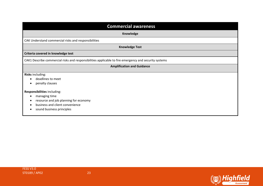| <b>Commercial awareness</b>                                                                                                                                        |
|--------------------------------------------------------------------------------------------------------------------------------------------------------------------|
| <b>Knowledge</b>                                                                                                                                                   |
| CAK Understand commercial risks and responsibilities                                                                                                               |
| <b>Knowledge Test</b>                                                                                                                                              |
| Criteria covered in knowledge test                                                                                                                                 |
| CAK1 Describe commercial risks and responsibilities applicable to fire emergency and security systems                                                              |
| <b>Amplification and Guidance</b>                                                                                                                                  |
| Risks including:<br>deadlines to meet<br>penalty clauses                                                                                                           |
| Responsibilities including:<br>managing time<br>resource and job planning for economy<br>$\bullet$<br>business and client convenience<br>sound business principles |

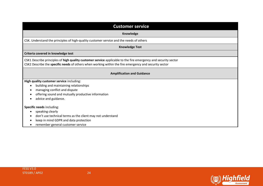| <b>Customer service</b>                                                                                                                                                                                                 |
|-------------------------------------------------------------------------------------------------------------------------------------------------------------------------------------------------------------------------|
| Knowledge                                                                                                                                                                                                               |
| CSK. Understand the principles of high-quality customer service and the needs of others                                                                                                                                 |
| <b>Knowledge Test</b>                                                                                                                                                                                                   |
| Criteria covered in knowledge test                                                                                                                                                                                      |
| CSK1 Describe principles of high quality customer service applicable to the fire emergency and security sector<br>CSK2 Describe the specific needs of others when working within the fire emergency and security sector |
| <b>Amplification and Guidance</b>                                                                                                                                                                                       |
| High quality customer service including:                                                                                                                                                                                |
| building and maintaining relationships                                                                                                                                                                                  |
| managing conflict and dispute                                                                                                                                                                                           |
| offering sound and mutually productive information                                                                                                                                                                      |
| advice and guidance.                                                                                                                                                                                                    |
| Specific needs including:                                                                                                                                                                                               |
| speaking clearly                                                                                                                                                                                                        |
| don't use technical terms as the client may not understand                                                                                                                                                              |
| keep in mind GDPR and data protection                                                                                                                                                                                   |
| remember general customer service                                                                                                                                                                                       |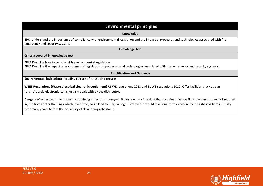| <b>Environmental principles</b>                                                                                                                                                                                                                                                                                                                                                         |
|-----------------------------------------------------------------------------------------------------------------------------------------------------------------------------------------------------------------------------------------------------------------------------------------------------------------------------------------------------------------------------------------|
|                                                                                                                                                                                                                                                                                                                                                                                         |
| Knowledge                                                                                                                                                                                                                                                                                                                                                                               |
| EPK. Understand the importance of compliance with environmental legislation and the impact of processes and technologies associated with fire,<br>emergency and security systems.                                                                                                                                                                                                       |
| <b>Knowledge Test</b>                                                                                                                                                                                                                                                                                                                                                                   |
| Criteria covered in knowledge test                                                                                                                                                                                                                                                                                                                                                      |
| EPK1 Describe how to comply with environmental legislation                                                                                                                                                                                                                                                                                                                              |
| EPK2 Describe the impact of environmental legislation on processes and technologies associated with fire, emergency and security systems.                                                                                                                                                                                                                                               |
| <b>Amplification and Guidance</b>                                                                                                                                                                                                                                                                                                                                                       |
| Environmental legislation: Including culture of re-use and recycle                                                                                                                                                                                                                                                                                                                      |
| WEEE Regulations (Waste electrical electronic equipment) UKWE regulations 2013 and EUWE regulations 2012. Offer facilities that you can<br>return/recycle electronic items, usually dealt with by the distributor.                                                                                                                                                                      |
| Dangers of asbestos: If the material containing asbestos is damaged, it can release a fine dust that contains asbestos fibres. When this dust is breathed<br>in, the fibres enter the lungs which, over time, could lead to lung damage. However, it would take long-term exposure to the asbestos fibres, usually<br>over many years, before the possibility of developing asbestosis. |

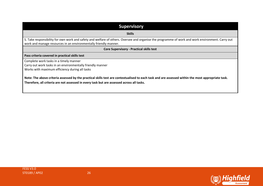| <b>Supervisory</b>                                                                                                                                                                                                                             |
|------------------------------------------------------------------------------------------------------------------------------------------------------------------------------------------------------------------------------------------------|
| <b>Skills</b>                                                                                                                                                                                                                                  |
| S. Take responsibility for own work and safety and welfare of others. Oversee and organise the programme of work and work environment. Carry out<br>work and manage resources in an environmentally friendly manner.                           |
| <b>Core Supervisory - Practical skills test</b>                                                                                                                                                                                                |
| Pass criteria covered in practical skills test                                                                                                                                                                                                 |
| Complete work tasks in a timely manner<br>Carry out work tasks in an environmentally friendly manner<br>Works with maximum efficiency during all tasks                                                                                         |
| Note: The above criteria assessed by the practical skills test are contextualised to each task and are assessed within the most appropriate task.<br>Therefore, all criteria are not assessed in every task but are assessed across all tasks. |

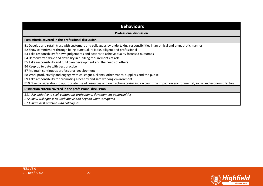### **Behaviours**

#### **Professional discussion**

#### **Pass criteria covered in the professional discussion**

B1 Develop and retain trust with customers and colleagues by undertaking responsibilities in an ethical and empathetic manner

B2 Show commitment through being punctual, reliable, diligent and professional

B3 Take responsibility for own judgements and actions to achieve quality focussed outcomes

B4 Demonstrate drive and flexibility in fulfilling requirements of role

B5 Take responsibility and fulfil own development and the needs of others

B6 Keep up to date with best practice

B7 Maintain continuous professional development

B8 Work productively and engage with colleagues, clients, other trades, suppliers and the public

B9 Take responsibility for promoting a healthy and safe working environment

B10 Give consideration to appropriate use of resources and own actions taking into account the impact on environmental, social and economic factors

#### **Distinction criteria covered in the professional discussion**

*B11 Use initiative to seek continuous professional development opportunities*

*B12 Show willingness to work above and beyond what is required*

*B13 Share best practice with colleagues*

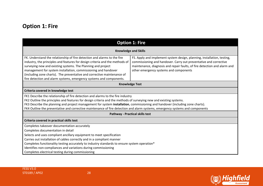## **Option 1: Fire**

<span id="page-27-0"></span>

| <b>Option 1: Fire</b>                                                                                                                                                                                                                                                                                                                                                                                                                                                   |                                                                                                                                                                                                                                                                     |  |  |
|-------------------------------------------------------------------------------------------------------------------------------------------------------------------------------------------------------------------------------------------------------------------------------------------------------------------------------------------------------------------------------------------------------------------------------------------------------------------------|---------------------------------------------------------------------------------------------------------------------------------------------------------------------------------------------------------------------------------------------------------------------|--|--|
| <b>Knowledge and Skills</b>                                                                                                                                                                                                                                                                                                                                                                                                                                             |                                                                                                                                                                                                                                                                     |  |  |
| FK. Understand the relationship of fire detection and alarms to the fire<br>industry, the principles and features for design criteria and the methods of<br>surveying new and existing systems. The Planning and project<br>management for system installation, commissioning and handover<br>(including zone charts). The preventative and corrective maintenance of<br>fire detection and alarm systems, emergency systems and components.                            | FS. Apply and implement system design, planning, installation, testing,<br>commissioning and handover. Carry out preventative and corrective<br>maintenance, diagnosis and repair faults, of fire detection and alarm and<br>other emergency systems and components |  |  |
|                                                                                                                                                                                                                                                                                                                                                                                                                                                                         | <b>Knowledge Test</b>                                                                                                                                                                                                                                               |  |  |
| Criteria covered in knowledge test                                                                                                                                                                                                                                                                                                                                                                                                                                      |                                                                                                                                                                                                                                                                     |  |  |
| FK1 Describe the relationship of fire detection and alarms to the fire industry<br>FK2 Outline the principles and features for design criteria and the methods of surveying new and existing systems.<br>FK3 Describe the planning and project management for system installation, commissioning and handover (including zone charts).<br>FK4 Outline the preventative and corrective maintenance of fire detection and alarm systems, emergency systems and components |                                                                                                                                                                                                                                                                     |  |  |
| <b>Pathway - Practical skills test</b>                                                                                                                                                                                                                                                                                                                                                                                                                                  |                                                                                                                                                                                                                                                                     |  |  |
| Criteria covered in practical skills test                                                                                                                                                                                                                                                                                                                                                                                                                               |                                                                                                                                                                                                                                                                     |  |  |
| Completes takeover documentation accurately<br>Completes documentation in detail<br>Selects and uses compliant ancillary equipment to meet specification<br>Carries out installation of cables correctly and in a compliant manner<br>Completes functionality testing accurately to industry standards to ensure system operation*<br>Identifies non-compliances and variations during commissioning<br>Completes electrical testing during commissioning               |                                                                                                                                                                                                                                                                     |  |  |



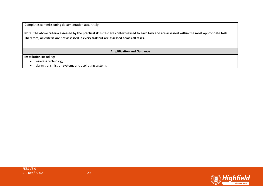Completes commissioning documentation accurately

**Note: The above criteria assessed by the practical skills test are contextualised to each task and are assessed within the most appropriate task. Therefore, all criteria are not assessed in every task but are assessed across all tasks.** 

**Amplification and Guidance**

**Installation** including:

- wireless technology
- alarm transmission systems and aspirating systems

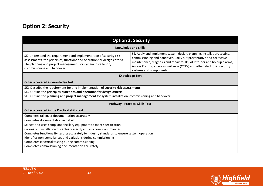## **Option 2: Security**

<span id="page-29-0"></span>

| <b>Option 2: Security</b>                                                                                                                                                                                                                                                                                                                                                                                                                                                                                    |                                                                                                                                                                                                                                                                                                                               |  |  |
|--------------------------------------------------------------------------------------------------------------------------------------------------------------------------------------------------------------------------------------------------------------------------------------------------------------------------------------------------------------------------------------------------------------------------------------------------------------------------------------------------------------|-------------------------------------------------------------------------------------------------------------------------------------------------------------------------------------------------------------------------------------------------------------------------------------------------------------------------------|--|--|
| <b>Knowledge and Skills</b>                                                                                                                                                                                                                                                                                                                                                                                                                                                                                  |                                                                                                                                                                                                                                                                                                                               |  |  |
| SK. Understand the requirement and implementation of security risk<br>assessments, the principles, functions and operation for design criteria.<br>The planning and project management for system installation,<br>commissioning and handover                                                                                                                                                                                                                                                                | SS. Apply and implement system design, planning, installation, testing,<br>commissioning and handover. Carry out preventative and corrective<br>maintenance, diagnosis and repair faults, of Intruder and holdup alarms,<br>Access Control, video surveillance (CCTV) and other electronic security<br>systems and components |  |  |
|                                                                                                                                                                                                                                                                                                                                                                                                                                                                                                              | <b>Knowledge Test</b>                                                                                                                                                                                                                                                                                                         |  |  |
| Criteria covered in knowledge test                                                                                                                                                                                                                                                                                                                                                                                                                                                                           |                                                                                                                                                                                                                                                                                                                               |  |  |
| SK1 Describe the requirement for and implementation of security risk assessments<br>SK2 Outline the principles, functions and operation for design criteria.<br>SK3 Outline the planning and project management for system installation, commissioning and handover.                                                                                                                                                                                                                                         |                                                                                                                                                                                                                                                                                                                               |  |  |
| <b>Pathway - Practical Skills Test</b>                                                                                                                                                                                                                                                                                                                                                                                                                                                                       |                                                                                                                                                                                                                                                                                                                               |  |  |
| <b>Criteria covered in the Practical skills test</b>                                                                                                                                                                                                                                                                                                                                                                                                                                                         |                                                                                                                                                                                                                                                                                                                               |  |  |
| Completes takeover documentation accurately<br>Completes documentation in detail<br>Selects and uses compliant ancillary equipment to meet specification<br>Carries out installation of cables correctly and in a compliant manner<br>Completes functionality testing accurately to industry standards to ensure system operation<br>Identifies non-compliances and variations during commissioning<br>Completes electrical testing during commissioning<br>Completes commissioning documentation accurately |                                                                                                                                                                                                                                                                                                                               |  |  |

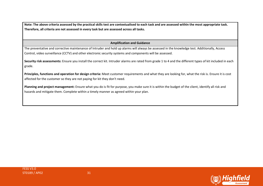**Note: The above criteria assessed by the practical skills test are contextualised to each task and are assessed within the most appropriate task. Therefore, all criteria are not assessed in every task but are assessed across all tasks.** 

### **Amplification and Guidance**

The preventative and corrective maintenance of Intruder and hold up alarms will always be assessed in the knowledge test. Additionally, Access Control, video surveillance (CCTV) and other electronic security systems and components will be assessed.

**Security risk assessments:** Ensure you install the correct kit. Intruder alarms are rated from grade 1 to 4 and the different types of kit included in each grade.

**Principles, functions and operation for design criteria:** Meet customer requirements and what they are looking for, what the risk is. Ensure it is cost affected for the customer so they are not paying for kit they don't need.

**Planning and project management:** Ensure what you do is fit for purpose, you make sure it is within the budget of the client, identify all risk and hazards and mitigate them. Complete within a timely manner as agreed within your plan.

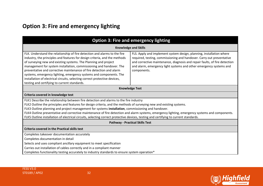## **Option 3: Fire and emergency lighting**

<span id="page-31-0"></span>

| <b>Option 3: Fire and emergency lighting</b>                                                                                                                                                                                                                                                                                                                                                                                                                                                                                                                                                                   |                                                                                                                                                                                                                                                                                                                  |  |  |
|----------------------------------------------------------------------------------------------------------------------------------------------------------------------------------------------------------------------------------------------------------------------------------------------------------------------------------------------------------------------------------------------------------------------------------------------------------------------------------------------------------------------------------------------------------------------------------------------------------------|------------------------------------------------------------------------------------------------------------------------------------------------------------------------------------------------------------------------------------------------------------------------------------------------------------------|--|--|
|                                                                                                                                                                                                                                                                                                                                                                                                                                                                                                                                                                                                                | <b>Knowledge and Skills</b>                                                                                                                                                                                                                                                                                      |  |  |
| FLK. Understand the relationship of fire detection and alarms to the fire<br>industry, the principles and features for design criteria, and the methods<br>of surveying new and existing systems. The Planning and project<br>management for system installation, commissioning and handover. The<br>preventative and corrective maintenance of fire detection and alarm<br>systems, emergency lighting, emergency systems and components. The<br>installation of electrical circuits, selecting correct protective devices,<br>testing and certifying to current standards.                                   | FLS. Apply and implement system design, planning, installation where<br>required, testing, commissioning and handover. Carry out preventative<br>and corrective maintenance, diagnosis and repair faults, of fire detection<br>and alarm, emergency light systems and other emergency systems and<br>components. |  |  |
| <b>Knowledge Test</b>                                                                                                                                                                                                                                                                                                                                                                                                                                                                                                                                                                                          |                                                                                                                                                                                                                                                                                                                  |  |  |
| Criteria covered in knowledge test                                                                                                                                                                                                                                                                                                                                                                                                                                                                                                                                                                             |                                                                                                                                                                                                                                                                                                                  |  |  |
| FLK1 Describe the relationship between fire detection and alarms to the fire industry<br>FLK2 Outline the principles and features for design criteria, and the methods of surveying new and existing systems.<br>FLK3 Outline planning and project management for systems installation, commissioning and handover.<br>FLK4 Outline preventative and corrective maintenance of fire detection and alarm systems, emergency lighting, emergency systems and components.<br>FLK5 Outline installation of electrical circuits, selecting correct protective devices, testing and certifying to current standards. |                                                                                                                                                                                                                                                                                                                  |  |  |
| <b>Pathway - Practical Skills Test</b>                                                                                                                                                                                                                                                                                                                                                                                                                                                                                                                                                                         |                                                                                                                                                                                                                                                                                                                  |  |  |
| <b>Criteria covered in the Practical skills test</b>                                                                                                                                                                                                                                                                                                                                                                                                                                                                                                                                                           |                                                                                                                                                                                                                                                                                                                  |  |  |
| Completes takeover documentation accurately<br>Completes documentation in detail<br>Selects and uses compliant ancillary equipment to meet specification<br>Carries out installation of cables correctly and in a compliant manner<br>Completes functionality testing accurately to industry standards to ensure system operation*                                                                                                                                                                                                                                                                             |                                                                                                                                                                                                                                                                                                                  |  |  |

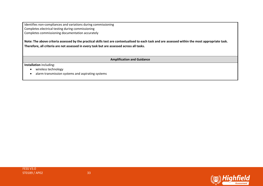Identifies non-compliances and variations during commissioning Completes electrical testing during commissioning Completes commissioning documentation accurately

**Note: The above criteria assessed by the practical skills test are contextualised to each task and are assessed within the most appropriate task. Therefore, all criteria are not assessed in every task but are assessed across all tasks.** 

**Amplification and Guidance**

**Installation** including:

- wireless technology
- alarm transmission systems and aspirating systems

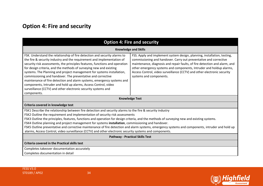## **Option 4: Fire and security**

<span id="page-33-0"></span>

| <b>Option 4: Fire and security</b>                                                                                                                                                                                                                                                                                                                                                                                                                                                                                                                                                                                                                                                                           |                                                                                                                                                                                                                                                                                                                                                                                                          |  |  |  |
|--------------------------------------------------------------------------------------------------------------------------------------------------------------------------------------------------------------------------------------------------------------------------------------------------------------------------------------------------------------------------------------------------------------------------------------------------------------------------------------------------------------------------------------------------------------------------------------------------------------------------------------------------------------------------------------------------------------|----------------------------------------------------------------------------------------------------------------------------------------------------------------------------------------------------------------------------------------------------------------------------------------------------------------------------------------------------------------------------------------------------------|--|--|--|
| <b>Knowledge and Skills</b>                                                                                                                                                                                                                                                                                                                                                                                                                                                                                                                                                                                                                                                                                  |                                                                                                                                                                                                                                                                                                                                                                                                          |  |  |  |
| FSK. Understand the relationship of fire detection and security alarms to<br>the fire & security industry and the requirement and implementation of<br>security risk assessments, the principles features, functions and operation<br>for design criteria, and the methods of surveying new and existing<br>systems. The Planning and project management for systems installation,<br>commissioning and handover. The preventative and corrective<br>maintenance of fire detection and alarm systems, emergency systems and<br>components, Intruder and hold up alarms, Access Control, video<br>surveillance (CCTV) and other electronic security systems and<br>components.                                | FSS. Apply and implement system design, planning, installation, testing,<br>commissioning and handover. Carry out preventative and corrective<br>maintenance, diagnosis and repair faults, of fire detection and alarm, and<br>other emergency systems and components, Intruder and holdup alarms,<br>Access Control, video surveillance (CCTV) and other electronic security<br>systems and components. |  |  |  |
| <b>Knowledge Test</b>                                                                                                                                                                                                                                                                                                                                                                                                                                                                                                                                                                                                                                                                                        |                                                                                                                                                                                                                                                                                                                                                                                                          |  |  |  |
| Criteria covered in knowledge test                                                                                                                                                                                                                                                                                                                                                                                                                                                                                                                                                                                                                                                                           |                                                                                                                                                                                                                                                                                                                                                                                                          |  |  |  |
| FSK1 Describe the relationship between fire detection and security alarms to the fire & security industry<br>FSK2 Outline the requirement and implementation of security risk assessments<br>FSK3 Outline the principles, features, functions and operation for design criteria, and the methods of surveying new and existing systems.<br>FSK4 Outline planning and project management for systems installation, commissioning and handover.<br>FSK5 Outline preventative and corrective maintenance of fire detection and alarm systems, emergency systems and components, intruder and hold up<br>alarms, Access Control, video surveillance (CCTV) and other electronic security systems and components. |                                                                                                                                                                                                                                                                                                                                                                                                          |  |  |  |
| <b>Pathway - Practical Skills Test</b>                                                                                                                                                                                                                                                                                                                                                                                                                                                                                                                                                                                                                                                                       |                                                                                                                                                                                                                                                                                                                                                                                                          |  |  |  |
| <b>Criteria covered in the Practical skills test</b>                                                                                                                                                                                                                                                                                                                                                                                                                                                                                                                                                                                                                                                         |                                                                                                                                                                                                                                                                                                                                                                                                          |  |  |  |
| Completes takeover documentation accurately                                                                                                                                                                                                                                                                                                                                                                                                                                                                                                                                                                                                                                                                  |                                                                                                                                                                                                                                                                                                                                                                                                          |  |  |  |
| Completes documentation in detail                                                                                                                                                                                                                                                                                                                                                                                                                                                                                                                                                                                                                                                                            |                                                                                                                                                                                                                                                                                                                                                                                                          |  |  |  |

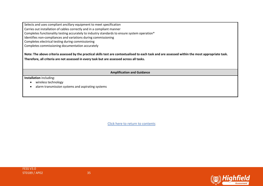Selects and uses compliant ancillary equipment to meet specification

Carries out installation of cables correctly and in a compliant manner

Completes functionality testing accurately to industry standards to ensure system operation\*

Identifies non-compliances and variations during commissioning

Completes electrical testing during commissioning

Completes commissioning documentation accurately

**Note: The above criteria assessed by the practical skills test are contextualised to each task and are assessed within the most appropriate task. Therefore, all criteria are not assessed in every task but are assessed across all tasks.** 

**Amplification and Guidance**

**Installation** including:

- wireless technology
- alarm transmission systems and aspirating systems



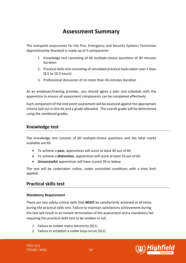## **Assessment Summary**

<span id="page-35-0"></span>The end-point assessment for the Fire, Emergency and Security Systems Technician Apprenticeship Standard is made up of 3 components:

- 1. Knowledge test consisting of 60 multiple-choice questions of 90 minutes duration
- 2. Practical skills test consisting of simulated practical tasks taken over 2 days (8.5 to 10.5 hours)
- 3. Professional discussion of no more than 45-minutes duration

As an employer/training provider, you should agree a plan and schedule with the apprentice to ensure all assessment components can be completed effectively.

Each component of the end-point assessment will be assessed against the appropriate criteria laid out in this kit and a grade allocated. The overall grade will be determined using the combined grades.

### **Knowledge test**

The knowledge test consists of 60 multiple-choice questions and the total marks available are 60.

- To achieve a **pass**, apprentices will score at least 40 out of 60
- To achieve a **distinction**, apprentices will score at least 50 out of 60
- **Unsuccessful** apprentices will have scored 39 or below

The test will be undertaken online, under controlled conditions with a time limit applied.

### **Practical skills test**

### **Mandatory Requirement**

There are two safety-critical skills that **MUST** be satisfactorily achieved at all times during the practical skills test. Failure to maintain satisfactory achievement during the test will result in an instant termination of the assessment and a mandatory fail requiring the practical skills test to be retaken in full.

- 1. Failure to isolate mains electricity (SC1)
- 2. Failure to establish a viable loop circuit (SC2)

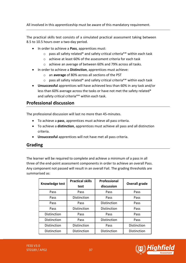All involved in this apprenticeship must be aware of this mandatory requirement.

The practical skills test consists of a simulated practical assessment taking between 8.5 to 10.5 hours over a two-day period.

- In order to achieve a **Pass**, apprentices must:
	- o pass all safety related\* and safety critical criteria\*\* within each task
	- o achieve at least 60% of the assessment criteria for each task
	- o achieve an average of between 60% and 79% across all tasks.
- In order to achieve a **Distinction**, apprentices must achieve:
	- o an **average** of 80% across all sections of the PST
	- o pass all safety related\* and safety critical criteria\*\* within each task
- **Unsuccessful** apprentices will have achieved less than 60% in any task and/or less than 60% average across the tasks or have not met the safety related\* and safety critical criteria\*\* within each task.

### **Professional discussion**

The professional discussion will last no more than 45-minutes.

- To achieve a **pass**, apprentices must achieve all pass criteria.
- To achieve a **distinction**, apprentices must achieve all pass and all distinction criteria.
- **Unsuccessful** apprentices will not have met all pass criteria.

### **Grading**

The learner will be required to complete and achieve a minimum of a pass in all three of the end-point assessment components in order to achieve an overall Pass. Any component not passed will result in an overall Fail. The grading thresholds are summarised as:

| Knowledge test | <b>Practical skills</b><br>test | <b>Professional</b><br>discussion |             |
|----------------|---------------------------------|-----------------------------------|-------------|
| Pass           | Pass                            | Pass                              | Pass        |
| Pass           | Distinction                     | Pass                              | Pass        |
| Pass           | Pass                            | Distinction                       | Pass        |
| Pass           | Distinction                     | Distinction                       | Pass        |
| Distinction    | Pass                            | Pass                              | Pass        |
| Distinction    | Pass                            | Distinction                       | Pass        |
| Distinction    | Distinction                     | Pass                              | Distinction |
| Distinction    | Distinction                     | Distinction                       | Distinction |

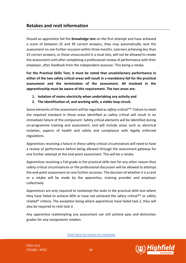### **Retakes and resit information**

Should an apprentice fail the **Knowledge test** on the first attempt and have achieved a score of between 25 and 39 correct answers, they may automatically resit the assessment on *one* further occasion within three months. Learners achieving less than 25 correct answers, or those unsuccessful in a resat test, will not be allowed to retake the assessment until after completing a professional review of performance with their employer, after feedback from the independent assessor. This being a retake.

**For the Practical Skills Test, it must be noted that unsatisfactory performance in either of the two safety critical areas will result in a mandatory fail for the practical assessment and the termination of the assessment. All involved in the apprenticeship must be aware of this requirement. The two areas are:**

- **1. Isolation of mains electricity when undertaking any activity and**
- **2. The identification of, and working with, a viable loop circuit.**

Some elements of the assessment will be regarded as *safety-critical\*\*.* Failure to meet the required standard in those areas identified as safety critical will result in an immediate failure of the component. Safety critical elements will be identified during on-programme training and assessment, and will include areas such as electrical isolation, aspects of health and safety and compliance with legally enforced regulations.

Apprentices receiving a failure in these safety-critical circumstances will need to have a review of performance before being allowed through the assessment gateway for one further attempt at the end-point assessment. This will be a retake.

Apprentices receiving a Fail grade in the practical skills test for any other reason than safety-critical circumstances or the professional discussion will be allowed to attempt the end-point assessment on one further occasion. The decision of whether it is a resit or a retake will be made by the apprentice, training provider and employer collectively.

Apprentices are only required to reattempt the tasks in the practical skills test where they have failed to achieve 60% or have not achieved the safety critical\*\* or safety related\* criteria. The exception being where apprentices have failed task 2, they will also be required to resit task 3.

Any apprentice reattempting any assessment can still achieve pass and distinction grades for any components retaken.

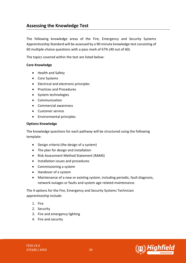## <span id="page-38-0"></span>**Assessing the Knowledge Test**

The following knowledge areas of the Fire, Emergency and Security Systems Apprenticeship Standard will be assessed by a 90-minute knowledge test consisting of 60 multiple-choice questions with a pass mark of 67% (40 out of 60).

The topics covered within the test are listed below:

### **Core Knowledge**

- Health and Safety
- Core Systems
- Electrical and electronic principles
- Practices and Procedures
- System technologies
- Communication
- Commercial awareness
- Customer service
- Environmental principles

### **Options Knowledge**

The knowledge questions for each pathway will be structured using the following template:

- Design criteria (the design of a system)
- The plan for design and installation
- Risk Assessment Method Statement (RAMS)
- Installation issues and procedures
- Commissioning a system
- Handover of a system
- Maintenance of a new or existing system, including periodic, fault diagnosis, network outages or faults and system age-related maintenance.

The 4 options for the Fire, Emergency and Security Systems Technician apprenticeship include:

- 1. Fire
- 2. Security
- 3. Fire and emergency lighting
- 4. Fire and security

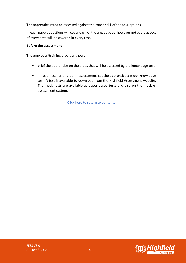The apprentice must be assessed against the core and 1 of the four options.

In each paper, questions will cover each of the areas above, however not every aspect of every area will be covered in every test.

### **Before the assessment**

The employer/training provider should:

- brief the apprentice on the areas that will be assessed by the knowledge test
- in readiness for end-point assessment, set the apprentice a mock knowledge test. A test is available to download from the Highfield Assessment website. The mock tests are available as paper-based tests and also on the mock eassessment system.

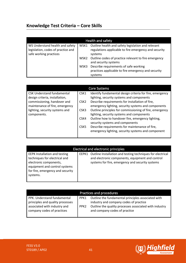## <span id="page-40-0"></span>**Knowledge Test Criteria – Core Skills**

| Health and safety                                                                               |      |                                                                                                                        |  |
|-------------------------------------------------------------------------------------------------|------|------------------------------------------------------------------------------------------------------------------------|--|
| WS Understand health and safety<br>legislation, codes of practice and<br>safe working practices | WSK1 | Outline health and safety legislation and relevant<br>regulations applicable to fire emergency and security<br>systems |  |
|                                                                                                 | WSK2 | Outline codes of practice relevant to fire emergency<br>and security systems                                           |  |
|                                                                                                 | WSK3 | Describe requirements of safe working<br>practices applicable to fire emergency and security<br>systems                |  |

| <b>Core Systems</b>               |                  |                                                          |
|-----------------------------------|------------------|----------------------------------------------------------|
| <b>CSK Understand fundamental</b> | CSK1             | Identify fundamental design criteria for fire, emergency |
| design criteria, installation,    |                  | lighting, security systems and components                |
| commissioning, handover and       | CSK <sub>2</sub> | Describe requirements for installation of fire,          |
| maintenance of fire, emergency    |                  | emergency lighting, security systems and components      |
| lighting, security systems and    | CSK3             | Outline principles for commissioning of fire, emergency  |
| components.                       |                  | lighting, security systems and components                |
|                                   | CSK4             | Outline how to handover fire, emergency lighting,        |
|                                   |                  | security systems and components                          |
|                                   | CSK <sub>5</sub> | Describe requirements for maintenance of fire,           |
|                                   |                  | emergency lighting, security systems and component       |
|                                   |                  |                                                          |

| <b>Electrical and electronic principles</b>                                                                                                                                      |       |                                                                                                                                                                    |
|----------------------------------------------------------------------------------------------------------------------------------------------------------------------------------|-------|--------------------------------------------------------------------------------------------------------------------------------------------------------------------|
| <b>EEPK Installation and testing</b><br>techniques for electrical and<br>electronic components,<br>equipment and control systems<br>for fire, emergency and security<br>systems. | EEPK1 | Outline Installation and testing techniques for electrical<br>and electronic components, equipment and control<br>systems for fire, emergency and security systems |

| Practices and procedures                                        |                  |                                                                                              |
|-----------------------------------------------------------------|------------------|----------------------------------------------------------------------------------------------|
| PPK. Understand fundamental<br>principles and quality processes | PPK1             | Outline the fundamental principles associated with<br>industry and company codes of practice |
| associated with industry and<br>company codes of practices      | PPK <sub>2</sub> | Outline the quality processes associated with industry<br>and company codes of practice      |



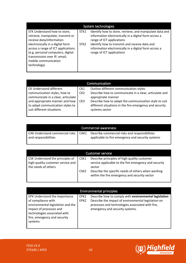| System technologies                |                  |                                                          |
|------------------------------------|------------------|----------------------------------------------------------|
| STK Understand how to store,       | STK1             | Identify how to store, retrieve, and manipulate data and |
| retrieve, manipulate, transmit or  |                  | information electronically in a digital form across a    |
| receive data/information           |                  | range of ICT applications                                |
| electronically in a digital form   | STK <sub>2</sub> | Identify how to transmit and receive data and            |
| across a range of ICT applications |                  | information electronically in a digital form across a    |
| (e.g. personal computers, digital  |                  | range of ICT applications                                |
| transmission over IP, email,       |                  |                                                          |
| mobile communication               |                  |                                                          |
| technology)                        |                  |                                                          |
|                                    |                  |                                                          |

| Communication                                                                                   |                 |                                                                                                                                    |
|-------------------------------------------------------------------------------------------------|-----------------|------------------------------------------------------------------------------------------------------------------------------------|
| <b>CK Understand different</b>                                                                  | CK1             | Outline different communication styles                                                                                             |
| communication styles, how to<br>communicate in a clear, articulate                              | CK <sub>2</sub> | Describe how to communicate in a clear, articulate and<br>appropriate manner                                                       |
| and appropriate manner and how<br>to adapt communication styles to<br>suit different situations | CK3             | Describe how to adapt the communication style to suit<br>different situations in the fire emergency and security<br>systems sector |

| <b>Commercial awareness</b>                                    |      |                                                                                                     |
|----------------------------------------------------------------|------|-----------------------------------------------------------------------------------------------------|
| <b>CAK Understand commercial risks</b><br>and responsibilities | CAK1 | Describe commercial risks and responsibilities<br>applicable to fire emergency and security systems |

| <b>Customer service</b>                                                                      |                  |                                                                                                                 |
|----------------------------------------------------------------------------------------------|------------------|-----------------------------------------------------------------------------------------------------------------|
| CSK Understand the principles of<br>high-quality customer service and<br>the needs of others | CSK1             | Describe principles of high quality customer<br>service applicable to the fire emergency and security<br>sector |
|                                                                                              | CSK <sub>2</sub> | Describe the specific needs of others when working<br>within the fire emergency and security sector             |

| <b>Environmental principles</b>                                                                                                                                                                |                          |                                                                                                                                                                                                     |
|------------------------------------------------------------------------------------------------------------------------------------------------------------------------------------------------|--------------------------|-----------------------------------------------------------------------------------------------------------------------------------------------------------------------------------------------------|
| EPK Understand the importance<br>of compliance with<br>environmental legislation and the<br>impact of processes and<br>technologies associated with<br>fire, emergency and security<br>systems | EPK1<br>EPK <sub>2</sub> | Describe how to comply with environmental legislation<br>Describe the impact of environmental legislation on<br>processes and technologies associated with fire,<br>emergency and security systems. |

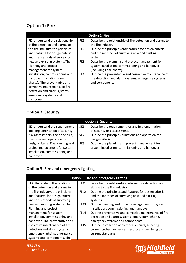## **Option 1: Fire**

|                                   |                 | Option 1: Fire                                            |
|-----------------------------------|-----------------|-----------------------------------------------------------|
| FK. Understand the relationship   | FK1             | Describe the relationship of fire detection and alarms to |
| of fire detection and alarms to   |                 | the fire industry                                         |
| the fire industry, the principles | FK <sub>2</sub> | Outline the principles and features for design criteria   |
| and features for design criteria  |                 | and the methods of surveying new and existing             |
| and the methods of surveying      |                 | systems.                                                  |
| new and existing systems. The     | FK3             | Describe the planning and project management for          |
| Planning and project              |                 | system installation, commissioning and handover           |
| management for system             |                 | (including zone charts).                                  |
| installation, commissioning and   | FK4             | Outline the preventative and corrective maintenance of    |
| handover (including zone          |                 | fire detection and alarm systems, emergency systems       |
| charts). The preventative and     |                 | and components                                            |
| corrective maintenance of fire    |                 |                                                           |
| detection and alarm systems,      |                 |                                                           |
| emergency systems and             |                 |                                                           |
| components.                       |                 |                                                           |

## **Option 2: Security**

| <b>Option 2: Security</b>                                                                                                            |                                    |                                                                                                                                                            |  |
|--------------------------------------------------------------------------------------------------------------------------------------|------------------------------------|------------------------------------------------------------------------------------------------------------------------------------------------------------|--|
| SK. Understand the requirement<br>and implementation of security<br>risk assessments, the principles,<br>functions and operation for | SK <sub>1</sub><br>SK <sub>2</sub> | Describe the requirement for and implementation<br>of security risk assessments<br>Outline the principles, functions and operation for<br>design criteria. |  |
| design criteria. The planning and<br>project management for system<br>installation, commissioning and<br>handover                    | SK <sub>3</sub>                    | Outline the planning and project management for<br>system installation, commissioning and handover.                                                        |  |

## **Option 3: Fire and emergency lighting**

| Option 3: Fire and emergency lighting |                  |                                                          |  |
|---------------------------------------|------------------|----------------------------------------------------------|--|
| FLK. Understand the relationship      | FLK1             | Describe the relationship between fire detection and     |  |
| of fire detection and alarms to       |                  | alarms to the fire industry                              |  |
| the fire industry, the principles     | FLK <sub>2</sub> | Outline the principles and features for design criteria, |  |
| and features for design criteria,     |                  | and the methods of surveying new and existing            |  |
| and the methods of surveying          |                  | systems.                                                 |  |
| new and existing systems. The         | FLK3             | Outline planning and project management for system       |  |
| Planning and project                  |                  | installation, commissioning and handover.                |  |
| management for system                 | FLK4             | Outline preventative and corrective maintenance of fire  |  |
| installation, commissioning and       |                  | detection and alarm systems, emergency lighting,         |  |
| handover. The preventative and        |                  | emergency systems and components.                        |  |
| corrective maintenance of fire        | FLK5             | Outline installation of electrical circuits, selecting   |  |
| detection and alarm systems,          |                  | correct protective devices, testing and certifying to    |  |
| emergency lighting, emergency         |                  | current standards.                                       |  |
| systems and components. The           |                  |                                                          |  |



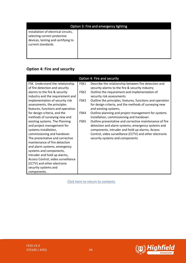| Option 3: Fire and emergency lighting                                                                                            |  |  |
|----------------------------------------------------------------------------------------------------------------------------------|--|--|
| installation of electrical circuits,<br>selecting correct protective<br>devices, testing and certifying to<br>current standards. |  |  |

## **Option 4: Fire and security**

|                                    |                  | Option 4: Fire and security                               |
|------------------------------------|------------------|-----------------------------------------------------------|
| FSK. Understand the relationship   | FSK1             | Describe the relationship between fire detection and      |
| of fire detection and security     |                  | security alarms to the fire & security industry           |
| alarms to the fire & security      | FSK <sub>2</sub> | Outline the requirement and implementation of             |
| industry and the requirement and   |                  | security risk assessments                                 |
| implementation of security risk    | FSK3             | Outline the principles, features, functions and operation |
| assessments, the principles        |                  | for design criteria, and the methods of surveying new     |
| features, functions and operation  |                  | and existing systems.                                     |
| for design criteria, and the       | FSK4             | Outline planning and project management for systems       |
| methods of surveying new and       |                  | installation, commissioning and handover.                 |
| existing systems. The Planning     | FSK <sub>5</sub> | Outline preventative and corrective maintenance of fire   |
| and project management for         |                  | detection and alarm systems, emergency systems and        |
| systems installation,              |                  | components, intruder and hold up alarms, Access           |
| commissioning and handover.        |                  | Control, video surveillance (CCTV) and other electronic   |
| The preventative and corrective    |                  | security systems and components                           |
| maintenance of fire detection      |                  |                                                           |
| and alarm systems, emergency       |                  |                                                           |
| systems and components,            |                  |                                                           |
| Intruder and hold up alarms,       |                  |                                                           |
| Access Control, video surveillance |                  |                                                           |
| (CCTV) and other electronic        |                  |                                                           |
| security systems and               |                  |                                                           |
| components.                        |                  |                                                           |

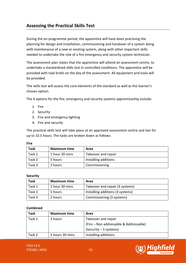## <span id="page-44-0"></span>**Assessing the Practical Skills Test**

During the on-programme period, the apprentice will have been practising the planning for design and installation, commissioning and handover of a system along with maintenance of a new or existing system, along with other important skills needed to undertake the role of a fire emergency and security system technician.

The assessment plan states that the apprentice will attend an assessment centre, to undertake a standardised skills test in controlled conditions. The apprentice will be provided with task briefs on the day of the assessment. All equipment and tools will be provided.

The skills test will assess the core elements of the standard as well as the learner's chosen option:

The 4 options for the fire, emergency and security systems apprenticeship include:

- 1. Fire
- 2. Security
- 3. Fire and emergency lighting
- 4. Fire and security

The practical skills test will take place at an approved assessment centre and last for up to 10.5 hours. The tasks are broken down as follows:

| ×<br>۰. |  |
|---------|--|
|---------|--|

| <b>Task</b> | <b>Maximum time</b> | Area                 |
|-------------|---------------------|----------------------|
| Task 1      | 1 hour 30 mins      | Takeover and repair  |
| Task 2      | 5 hours             | Installing additions |
| Task 3      | 2 hours             | Commissioning        |

### **Security**

| <b>Task</b> | <b>Maximum time</b> | Area                             |
|-------------|---------------------|----------------------------------|
| Task 1      | 1 hour 30 mins      | Takeover and repair (3 systems)  |
| Task 2      | 5 hours             | Installing additions (3 systems) |
| Task 3      | 2 hours             | Commissioning (3 systems)        |

### **Combined**

| <b>Task</b> | <b>Maximum time</b> | Area                                   |
|-------------|---------------------|----------------------------------------|
| Task 1      | 3 hours             | Takeover and repair                    |
|             |                     | (Fire – Non addressable & Addressable) |
|             |                     | $(Security - 3 systems)$               |
| Task 2      | 5 hours 30 mins     | Installing additions                   |

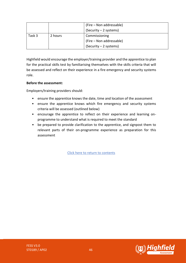|        |         | (Fire – Non addressable) |
|--------|---------|--------------------------|
|        |         | $(Security - 2 systems)$ |
| Task 3 | 2 hours | Commissioning            |
|        |         | (Fire – Non addressable) |
|        |         | $(Security - 2 systems)$ |

Highfield would encourage the employer/training provider and the apprentice to plan for the practical skills test by familiarising themselves with the skills criteria that will be assessed and reflect on their experience in a fire emergency and security systems role.

### **Before the assessment:**

Employers/training providers should:

- ensure the apprentice knows the date, time and location of the assessment
- ensure the apprentice knows which fire emergency and security systems criteria will be assessed (outlined below)
- encourage the apprentice to reflect on their experience and learning onprogramme to understand what is required to meet the standard
- be prepared to provide clarification to the apprentice, and signpost them to relevant parts of their on-programme experience as preparation for this assessment

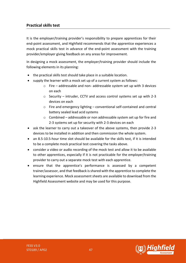### **Practical skills test**

It is the employer/training provider's responsibility to prepare apprentices for their end-point assessment, and Highfield recommends that the apprentice experiences a mock practical skills test in advance of the end-point assessment with the training provider/employer giving feedback on any areas for improvement.

In designing a mock assessment, the employer/training provider should include the following elements in its planning:

- the practical skills test should take place in a suitable location.
- supply the learner with a mock set up of a current system as follows:
	- $\circ$  Fire addressable and non- addressable system set up with 3 devices on each
	- o Security intruder, CCTV and access control systems set up with 2-3 devices on each
	- o Fire and emergency lighting conventional self-contained and central battery sealed lead acid systems
	- o Combined addressable or non addressable system set up for fire and 2-3 systems set up for security with 2-3 devices on each
- ask the learner to carry out a takeover of the above systems, then provide 2-3 devices to be installed in addition and then commission the whole system.
- an 8.5-10.5-hour time slot should be available for the skills test, if it is intended to be a complete mock practical test covering the tasks above.
- consider a video or audio recording of the mock test and allow it to be available to other apprentices, especially if it is not practicable for the employer/training provider to carry out a separate mock test with each apprentice.
- ensure that the apprentice's performance is assessed by a competent trainer/assessor, and that feedback is shared with the apprentice to complete the learning experience. Mock assessment sheets are available to download from the Highfield Assessment website and may be used for this purpose.

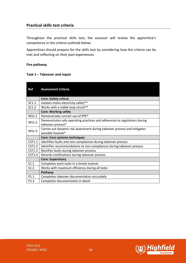### **Practical skills test criteria**

Throughout the practical skills test, the assessor will review the apprentice's competence in the criteria outlined below.

Apprentices should prepare for the skills test by considering how the criteria can be met and reflecting on their past experiences.

### **Fire pathway**

### **Task 1 – Takeover and repair**

| <b>Ref</b>       | <b>Assessment Criteria</b>                                                |  |
|------------------|---------------------------------------------------------------------------|--|
|                  | <b>Core: Safety critical</b>                                              |  |
| SC1.1            | Isolates mains electricity safely**                                       |  |
| SC1.2            | Works with a viable loop circuit**                                        |  |
|                  | <b>Core: Working safely</b>                                               |  |
| WS1.1            | Demonstrates correct use of PPE*                                          |  |
| WS1.2            | Demonstrates safe operating practices and adherence to regulations during |  |
|                  | takeover process*                                                         |  |
| WS1.3            | Carries out dynamic risk assessment during takeover process and mitigates |  |
|                  | possible hazards*                                                         |  |
|                  | <b>Core: Core systems techniques</b>                                      |  |
| CST1.1           | Identifies faults and non-compliances during takeover process             |  |
| CST1.2           | Identifies recommendations to non-compliances during takeover process     |  |
| <b>CST1.3</b>    | Rectifies faults during takeover process                                  |  |
| CST1.4           | Records rectifications during takeover process                            |  |
|                  | <b>Core: Supervisory</b>                                                  |  |
| S1.1             | Completes work tasks in a timely manner                                   |  |
| S1.2             | Works with maximum efficiency during all tasks                            |  |
|                  | Pathway                                                                   |  |
| P <sub>1.1</sub> | Completes takeover documentation accurately                               |  |
| P <sub>1.2</sub> | Completes documentation in detail                                         |  |

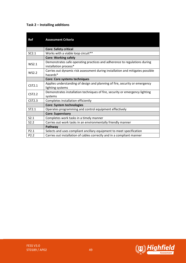### **Task 2 – Installing additions**

| Ref              | <b>Assessment Criteria</b>                                                                         |
|------------------|----------------------------------------------------------------------------------------------------|
|                  | <b>Core: Safety critical</b>                                                                       |
| SC2.1            | Works with a viable loop circuit**                                                                 |
|                  | <b>Core: Working safely</b>                                                                        |
| <b>WS2.1</b>     | Demonstrates safe operating practices and adherence to regulations during<br>installation process* |
| WS2.2            | Carries out dynamic risk assessment during installation and mitigates possible<br>hazards*         |
|                  | <b>Core: Core systems techniques</b>                                                               |
| CST2.1           | Applies understanding of design and planning of fire, security or emergency                        |
|                  | lighting systems                                                                                   |
| <b>CST2.2</b>    | Demonstrates installation techniques of fire, security or emergency lighting                       |
|                  | systems                                                                                            |
| <b>CST2.3</b>    | Completes installation efficiently                                                                 |
|                  | <b>Core: System technologies</b>                                                                   |
| ST2.1            | Operates programming and control equipment effectively                                             |
|                  | <b>Core: Supervisory</b>                                                                           |
| S2.1             | Completes work tasks in a timely manner                                                            |
| S2.2             | Carries out work tasks in an environmentally friendly manner                                       |
|                  | Pathway                                                                                            |
| P2.1             | Selects and uses compliant ancillary equipment to meet specification                               |
| P <sub>2.2</sub> | Carries out installation of cables correctly and in a compliant manner                             |

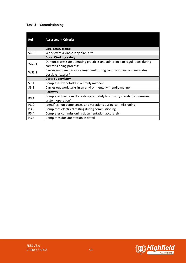### **Task 3 – Commissioning**

| Ref          | <b>Assessment Criteria</b>                                                                          |
|--------------|-----------------------------------------------------------------------------------------------------|
|              | <b>Core: Safety critical</b>                                                                        |
| SC3.1        | Works with a viable loop circuit**                                                                  |
|              | <b>Core: Working safely</b>                                                                         |
| WS3.1        | Demonstrates safe operating practices and adherence to regulations during<br>commissioning process* |
| <b>WS3.2</b> | Carries out dynamic risk assessment during commissioning and mitigates<br>possible hazards*         |
|              | <b>Core: Supervisory</b>                                                                            |
| S3.1         | Completes work tasks in a timely manner                                                             |
| S3.2         | Carries out work tasks in an environmentally friendly manner                                        |
|              | Pathway                                                                                             |
| P3.1         | Completes functionality testing accurately to industry standards to ensure<br>system operation*     |
| P3.2         | Identifies non-compliances and variations during commissioning                                      |
| P3.3         | Completes electrical testing during commissioning                                                   |
| P3.4         | Completes commissioning documentation accurately                                                    |
| P3.5         | Completes documentation in detail                                                                   |

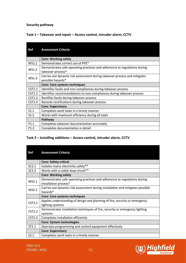### **Security pathway**

### **Task 1 – Takeover and repair – Access control, intruder alarm, CCTV**

| Ref              | <b>Assessment Criteria</b>                                                                     |
|------------------|------------------------------------------------------------------------------------------------|
|                  | <b>Core: Working safely</b>                                                                    |
| WS1.1            | Demonstrates correct use of PPE*                                                               |
| WS1.2            | Demonstrates safe operating practices and adherence to regulations during<br>takeover process* |
| WS1.3            | Carries out dynamic risk assessment during takeover process and mitigates<br>possible hazards* |
|                  | <b>Core: Core systems techniques</b>                                                           |
| CST1.1           | Identifies faults and non-compliances during takeover process                                  |
| CST1.2           | Identifies recommendations to non-compliances during takeover process                          |
| <b>CST1.3</b>    | Rectifies faults during takeover process                                                       |
| CST1.4           | Records rectifications during takeover process                                                 |
|                  | <b>Core: Supervisory</b>                                                                       |
| S1.1             | Completes work tasks in a timely manner                                                        |
| S1.2             | Works with maximum efficiency during all tasks                                                 |
|                  | Pathway                                                                                        |
| P <sub>1.1</sub> | Completes takeover documentation accurately                                                    |
| P <sub>1.2</sub> | Completes documentation in detail                                                              |

### **Task 2 – Installing additions – Access control, intruder alarm, CCTV**

| Ref           | <b>Assessment Criteria</b>                                                                         |
|---------------|----------------------------------------------------------------------------------------------------|
|               | <b>Core: Safety critical</b>                                                                       |
| SC2.1         | Isolates mains electricity safely**                                                                |
| SC2.2         | Works with a viable loop circuit**                                                                 |
|               | <b>Core: Working safely</b>                                                                        |
| WS2.1         | Demonstrates safe operating practices and adherence to regulations during<br>installation process* |
| WS2.2         | Carries out dynamic risk assessment during installation and mitigates possible<br>hazards*         |
|               | <b>Core: Core systems techniques</b>                                                               |
| CST2.1        | Applies understanding of design and planning of fire, security or emergency<br>lighting systems    |
| <b>CST2.2</b> | Demonstrates installation techniques of fire, security or emergency lighting<br>systems            |
| CST2.3        | Completes installation efficiently                                                                 |
|               | <b>Core: System technologies</b>                                                                   |
| ST2.1         | Operates programming and control equipment effectively                                             |
|               | <b>Core: Supervisory</b>                                                                           |
| S2.1          | Completes work tasks in a timely manner                                                            |

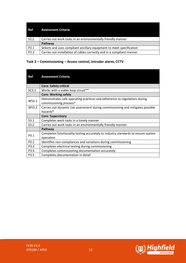| Ref  | <b>Assessment Criteria</b>                                             |
|------|------------------------------------------------------------------------|
| S2.2 | Carries out work tasks in an environmentally friendly manner           |
|      | Pathway                                                                |
| P2.1 | Selects and uses compliant ancillary equipment to meet specification   |
| P2.2 | Carries out installation of cables correctly and in a compliant manner |

### **Task 3 – Commissioning – Access control, intruder alarm, CCTV**

| <b>Ref</b>   | <b>Assessment Criteria</b>                                                                          |
|--------------|-----------------------------------------------------------------------------------------------------|
|              | <b>Core: Safety critical</b>                                                                        |
| SC3.1        | Works with a viable loop circuit**                                                                  |
|              | <b>Core: Working safely</b>                                                                         |
| WS3.1        | Demonstrates safe operating practices and adherence to regulations during<br>commissioning process* |
| <b>WS3.2</b> | Carries out dynamic risk assessment during commissioning and mitigates possible<br>hazards*         |
|              |                                                                                                     |
|              | <b>Core: Supervisory</b>                                                                            |
| S3.1         | Completes work tasks in a timely manner                                                             |
| S3.2         | Carries out work tasks in an environmentally friendly manner                                        |
|              | Pathway                                                                                             |
|              | Completes functionality testing accurately to industry standards to ensure system                   |
| P3.1         | operation                                                                                           |
| P3.2         | Identifies non-compliances and variations during commissioning                                      |
| P3.3         | Completes electrical testing during commissioning                                                   |
| P3.4         | Completes commissioning documentation accurately                                                    |

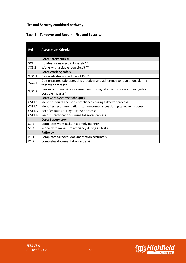### **Fire and Security combined pathway**

### **Task 1 – Takeover and Repair – Fire and Security**

| <b>Ref</b>       | <b>Assessment Criteria</b>                                                                     |
|------------------|------------------------------------------------------------------------------------------------|
|                  | <b>Core: Safety critical</b>                                                                   |
| SC1.1            | Isolates mains electricity safely**                                                            |
| SC1.2            | Works with a viable loop circuit**                                                             |
|                  | <b>Core: Working safely</b>                                                                    |
| WS1.1            | Demonstrates correct use of PPE*                                                               |
| WS1.2            | Demonstrates safe operating practices and adherence to regulations during                      |
|                  | takeover process*                                                                              |
| WS1.3            | Carries out dynamic risk assessment during takeover process and mitigates<br>possible hazards* |
|                  | <b>Core: Core systems techniques</b>                                                           |
| CST1.1           | Identifies faults and non-compliances during takeover process                                  |
| CST1.2           | Identifies recommendations to non-compliances during takeover process                          |
| <b>CST1.3</b>    | Rectifies faults during takeover process                                                       |
| CST1.4           | Records rectifications during takeover process                                                 |
|                  | <b>Core: Supervisory</b>                                                                       |
| S1.1             | Completes work tasks in a timely manner                                                        |
| S1.2             | Works with maximum efficiency during all tasks                                                 |
|                  | Pathway                                                                                        |
| P1.1             | Completes takeover documentation accurately                                                    |
| P <sub>1.2</sub> | Completes documentation in detail                                                              |

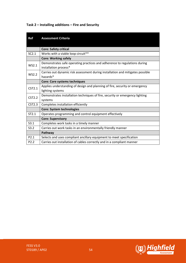### **Task 2 – Installing additions – Fire and Security**

| Ref               | <b>Assessment Criteria</b>                                                                         |
|-------------------|----------------------------------------------------------------------------------------------------|
|                   | <b>Core: Safety critical</b>                                                                       |
| SC2.1             | Works with a viable loop circuit**                                                                 |
|                   | <b>Core: Working safely</b>                                                                        |
| WS2.1             | Demonstrates safe operating practices and adherence to regulations during<br>installation process* |
| <b>WS2.2</b>      | Carries out dynamic risk assessment during installation and mitigates possible<br>hazards*         |
|                   | <b>Core: Core systems techniques</b>                                                               |
| CST2.1            | Applies understanding of design and planning of fire, security or emergency<br>lighting systems    |
| CST2.2            | Demonstrates installation techniques of fire, security or emergency lighting<br>systems            |
| CST2.3            | Completes installation efficiently                                                                 |
|                   | <b>Core: System technologies</b>                                                                   |
| ST <sub>2.1</sub> | Operates programming and control equipment effectively                                             |
|                   | <b>Core: Supervisory</b>                                                                           |
| S3.1              | Completes work tasks in a timely manner                                                            |
| S3.2              | Carries out work tasks in an environmentally friendly manner                                       |
|                   | Pathway                                                                                            |
| P2.1              | Selects and uses compliant ancillary equipment to meet specification                               |
| P <sub>2.2</sub>  | Carries out installation of cables correctly and in a compliant manner                             |

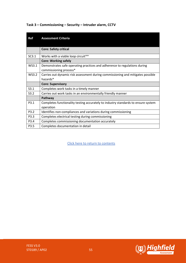| <b>Ref</b>   | <b>Assessment Criteria</b>                                                                          |
|--------------|-----------------------------------------------------------------------------------------------------|
|              | <b>Core: Safety critical</b>                                                                        |
| SC3.1        | Works with a viable loop circuit**                                                                  |
|              | <b>Core: Working safely</b>                                                                         |
| WS3.1        | Demonstrates safe operating practices and adherence to regulations during<br>commissioning process* |
| <b>WS3.2</b> | Carries out dynamic risk assessment during commissioning and mitigates possible<br>hazards*         |
|              | <b>Core: Supervisory</b>                                                                            |
| S3.1         | Completes work tasks in a timely manner                                                             |
| S3.2         | Carries out work tasks in an environmentally friendly manner                                        |
|              | Pathway                                                                                             |
| P3.1         | Completes functionality testing accurately to industry standards to ensure system                   |
|              | operation                                                                                           |
| P3.2         | Identifies non-compliances and variations during commissioning                                      |
| P3.3         | Completes electrical testing during commissioning                                                   |
| P3.4         | Completes commissioning documentation accurately                                                    |
| P3.5         | Completes documentation in detail                                                                   |

### **Task 3 – Commissioning – Security – Intruder alarm, CCTV**

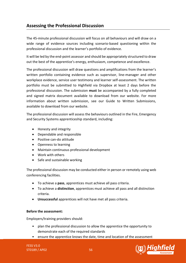## <span id="page-55-0"></span>**Assessing the Professional Discussion**

The 45-minute professional discussion will focus on all behaviours and will draw on a wide range of evidence sources including scenario-based questioning within the professional discussion and the learner's portfolio of evidence.

It will be led by the end-point assessor and should be appropriately structured to draw out the best of the apprentice's energy, enthusiasm, competence and excellence.

The professional discussion will draw questions and amplifications from the learner's written portfolio containing evidence such as supervisor, line-manager and other workplace evidence, service user testimony and learner self-assessment. The written portfolio must be submitted to Highfield via Dropbox at least 2 days before the professional discussion. The submission **must** be accompanied by a fully completed and signed matrix document available to download from our website. For more information about written submission, see our Guide to Written Submissions, available to download from our website.

The professional discussion will assess the behaviours outlined in the Fire, Emergency and Security Systems apprenticeship standard, including:

- Honesty and integrity
- Dependable and responsible
- Positive can-do attitude
- Openness to learning
- Maintain continuous professional development
- Work with others
- Safe and sustainable working

The professional discussion may be conducted either in person or remotely using web conferencing facilities.

- To achieve a **pass**, apprentices must achieve all pass criteria.
- To achieve a **distinction**, apprentices must achieve all pass and all distinction criteria.
- **Unsuccessful** apprentices will not have met all pass criteria.

### **Before the assessment:**

Employers/training providers should:

- plan the professional discussion to allow the apprentice the opportunity to demonstrate each of the required standards
- ensure the apprentice knows the date, time and location of the assessment

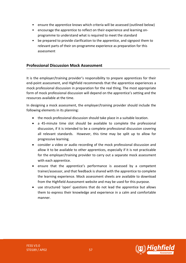- ensure the apprentice knows which criteria will be assessed (outlined below)
- encourage the apprentice to reflect on their experience and learning onprogramme to understand what is required to meet the standard
- be prepared to provide clarification to the apprentice, and signpost them to relevant parts of their on-programme experience as preparation for this assessment

### **Professional Discussion Mock Assessment**

It is the employer/training provider's responsibility to prepare apprentices for their end-point assessment, and Highfield recommends that the apprentice experiences a mock professional discussion in preparation for the real thing. The most appropriate form of mock professional discussion will depend on the apprentice's setting and the resources available at the time.

In designing a mock assessment, the employer/training provider should include the following elements in its planning:

- the mock professional discussion should take place in a suitable location.
- a 45-minute time slot should be available to complete the professional discussion, if it is intended to be a complete professional discussion covering all relevant standards. However, this time may be split up to allow for progressive learning.
- consider a video or audio recording of the mock professional discussion and allow it to be available to other apprentices, especially if it is not practicable for the employer/training provider to carry out a separate mock assessment with each apprentice.
- ensure that the apprentice's performance is assessed by a competent trainer/assessor, and that feedback is shared with the apprentice to complete the learning experience. Mock assessment sheets are available to download from the Highfield Assessment website and may be used for this purpose.
- use structured 'open' questions that do not lead the apprentice but allows them to express their knowledge and experience in a calm and comfortable manner.